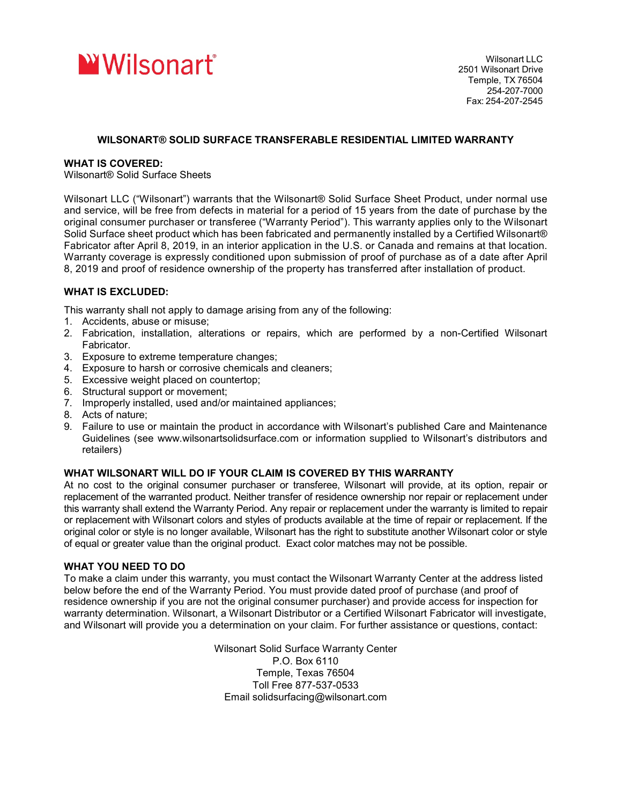

# **WILSONART® SOLID SURFACE TRANSFERABLE RESIDENTIAL LIMITED WARRANTY**

### **WHAT IS COVERED:**

Wilsonart® Solid Surface Sheets

Wilsonart LLC ("Wilsonart") warrants that the Wilsonart® Solid Surface Sheet Product, under normal use and service, will be free from defects in material for a period of 15 years from the date of purchase by the original consumer purchaser or transferee ("Warranty Period"). This warranty applies only to the Wilsonart Solid Surface sheet product which has been fabricated and permanently installed by a Certified Wilsonart® Fabricator after April 8, 2019, in an interior application in the U.S. or Canada and remains at that location. Warranty coverage is expressly conditioned upon submission of proof of purchase as of a date after April 8, 2019 and proof of residence ownership of the property has transferred after installation of product.

## **WHAT IS EXCLUDED:**

This warranty shall not apply to damage arising from any of the following:

- 1. Accidents, abuse or misuse;
- 2. Fabrication, installation, alterations or repairs, which are performed by a non-Certified Wilsonart Fabricator.
- 3. Exposure to extreme temperature changes;
- 4. Exposure to harsh or corrosive chemicals and cleaners;
- 5. Excessive weight placed on countertop;
- 6. Structural support or movement;
- 7. Improperly installed, used and/or maintained appliances;
- 8. Acts of nature;
- 9. Failure to use or maintain the product in accordance with Wilsonart's published Care and Maintenance Guidelines (see www.wilsonartsolidsurface.com or information supplied to Wilsonart's distributors and retailers)

## **WHAT WILSONART WILL DO IF YOUR CLAIM IS COVERED BY THIS WARRANTY**

At no cost to the original consumer purchaser or transferee, Wilsonart will provide, at its option, repair or replacement of the warranted product. Neither transfer of residence ownership nor repair or replacement under this warranty shall extend the Warranty Period. Any repair or replacement under the warranty is limited to repair or replacement with Wilsonart colors and styles of products available at the time of repair or replacement. If the original color or style is no longer available, Wilsonart has the right to substitute another Wilsonart color or style of equal or greater value than the original product. Exact color matches may not be possible.

## **WHAT YOU NEED TO DO**

To make a claim under this warranty, you must contact the Wilsonart Warranty Center at the address listed below before the end of the Warranty Period. You must provide dated proof of purchase (and proof of residence ownership if you are not the original consumer purchaser) and provide access for inspection for warranty determination. Wilsonart, a Wilsonart Distributor or a Certified Wilsonart Fabricator will investigate, and Wilsonart will provide you a determination on your claim. For further assistance or questions, contact:

> Wilsonart Solid Surface Warranty Center P.O. Box 6110 Temple, Texas 76504 Toll Free 877-537-0533 Email solidsurfacing@wilsonart.com